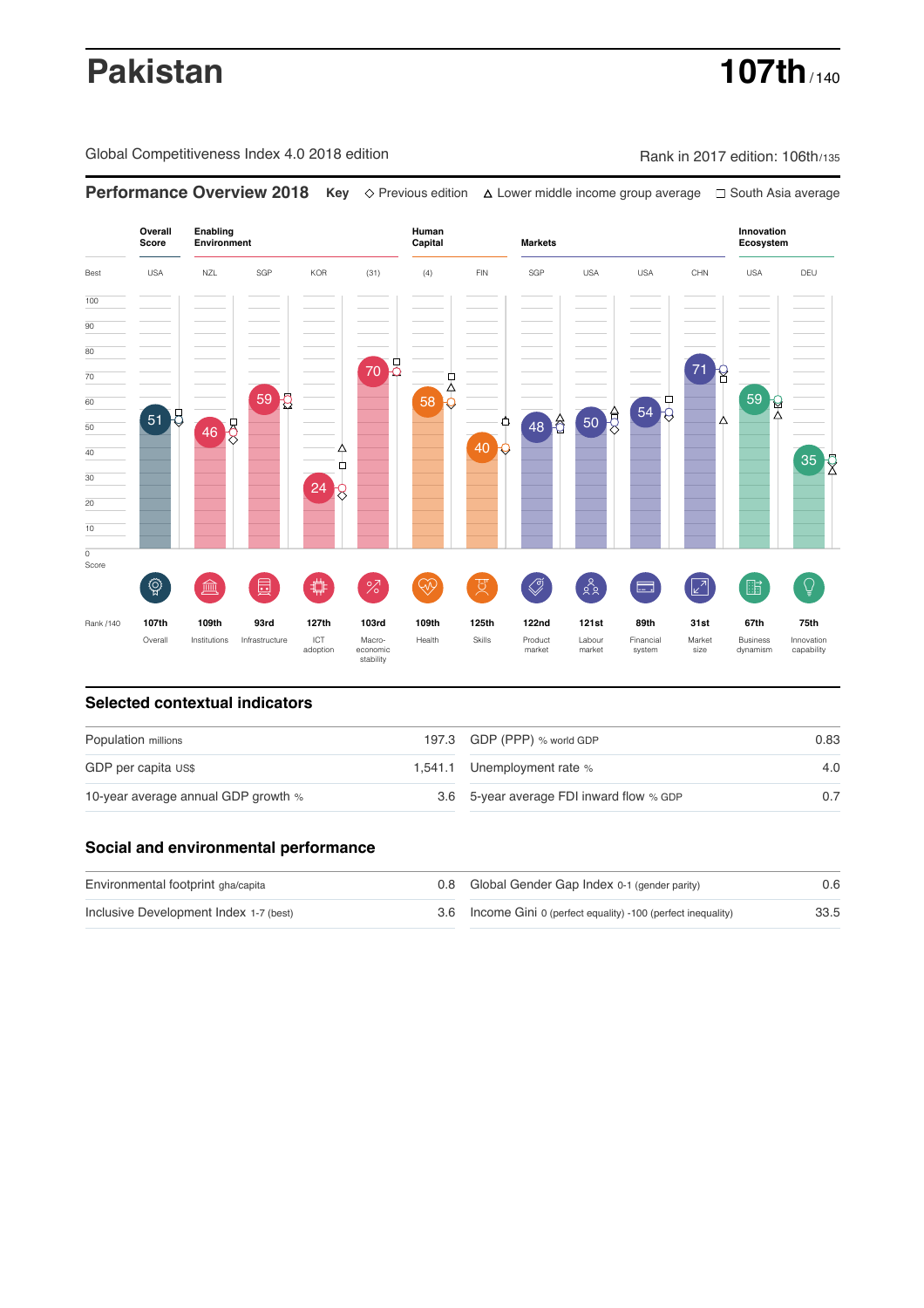# **Pakistan 107th** / 140

Global Competitiveness Index 4.0 2018 edition Rank in 2017 edition: 106th/135

**Performance Overview 2018 Key** Previous edition Lower middle income group average South Asia average



### **Selected contextual indicators**

| Population millions                 |  | 197.3 GDP (PPP) % world GDP              | 0.83 |  |
|-------------------------------------|--|------------------------------------------|------|--|
| GDP per capita US\$                 |  | 1,541.1 Unemployment rate %              | 4.0  |  |
| 10-year average annual GDP growth % |  | 3.6 5-year average FDI inward flow % GDP |      |  |

### **Social and environmental performance**

| Environmental footprint gha/capita     | 0.8 Global Gender Gap Index 0-1 (gender parity)                | 0.6  |
|----------------------------------------|----------------------------------------------------------------|------|
| Inclusive Development Index 1-7 (best) | 3.6 Income Gini 0 (perfect equality) -100 (perfect inequality) | 33.5 |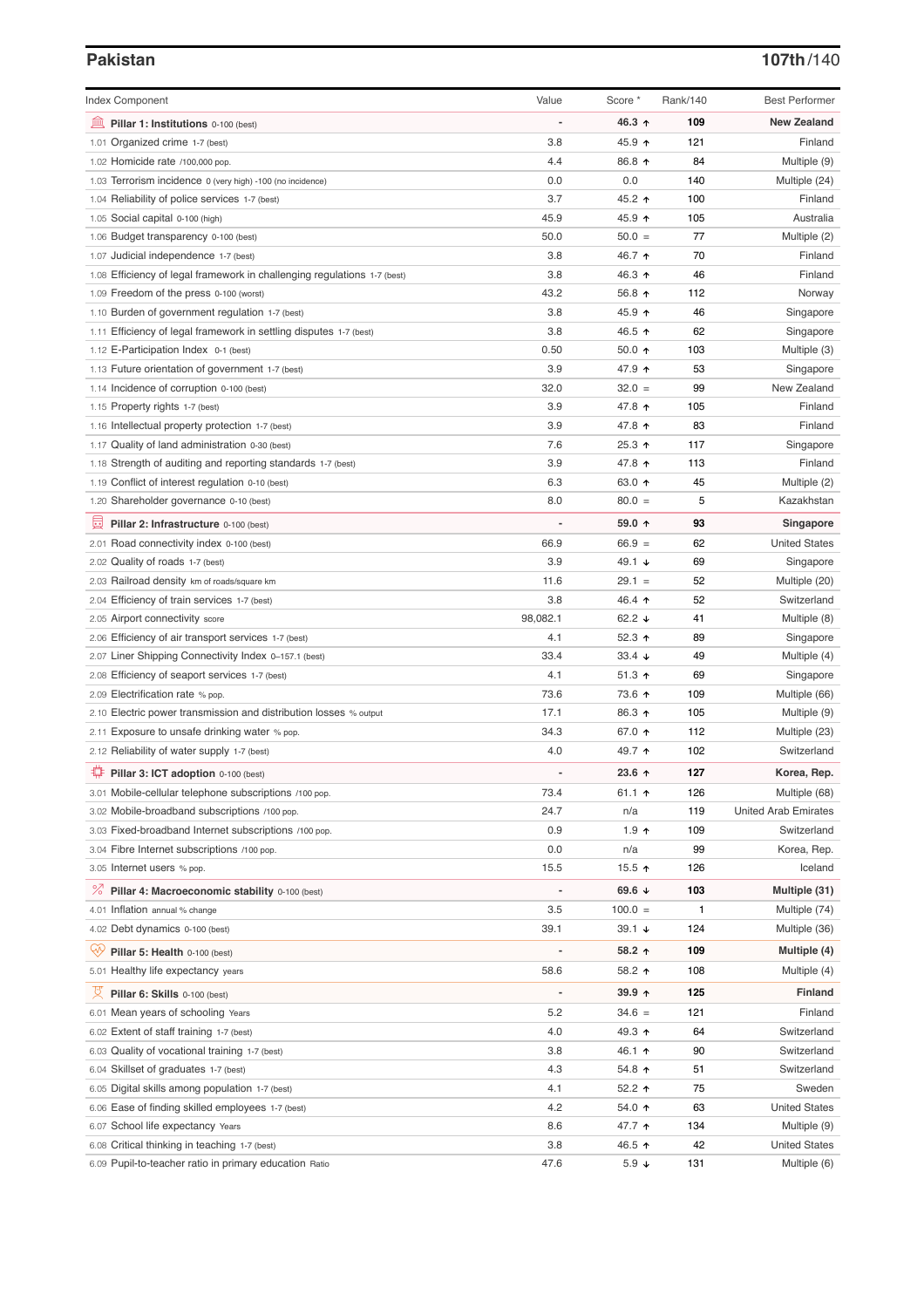# **Pakistan 107th**/140

| <b>Index Component</b>                                                   | Value    | Score *                  | Rank/140     | <b>Best Performer</b>       |
|--------------------------------------------------------------------------|----------|--------------------------|--------------|-----------------------------|
| 寙<br>Pillar 1: Institutions 0-100 (best)                                 |          | 46.3 ↑                   | 109          | <b>New Zealand</b>          |
| 1.01 Organized crime 1-7 (best)                                          | 3.8      | 45.9 ↑                   | 121          | Finland                     |
| 1.02 Homicide rate /100,000 pop.                                         | 4.4      | 86.8 ↑                   | 84           | Multiple (9)                |
| 1.03 Terrorism incidence 0 (very high) -100 (no incidence)               | 0.0      | 0.0                      | 140          | Multiple (24)               |
| 1.04 Reliability of police services 1-7 (best)                           | 3.7      | 45.2 ↑                   | 100          | Finland                     |
| 1.05 Social capital 0-100 (high)                                         | 45.9     | 45.9 $\uparrow$          | 105          | Australia                   |
| 1.06 Budget transparency 0-100 (best)                                    | 50.0     | $50.0 =$                 | 77           | Multiple (2)                |
| 1.07 Judicial independence 1-7 (best)                                    | 3.8      | 46.7 ↑                   | 70           | Finland                     |
| 1.08 Efficiency of legal framework in challenging regulations 1-7 (best) | 3.8      | 46.3 ↑                   | 46           | Finland                     |
| 1.09 Freedom of the press 0-100 (worst)                                  | 43.2     | 56.8 ↑                   | 112          | Norway                      |
| 1.10 Burden of government regulation 1-7 (best)                          | 3.8      | 45.9 ↑                   | 46           | Singapore                   |
| 1.11 Efficiency of legal framework in settling disputes 1-7 (best)       | 3.8      | 46.5 ↑                   | 62           | Singapore                   |
| 1.12 E-Participation Index 0-1 (best)                                    | 0.50     | $50.0 \text{ } \Upsilon$ | 103          | Multiple (3)                |
| 1.13 Future orientation of government 1-7 (best)                         | 3.9      | 47.9 ↑                   | 53           | Singapore                   |
| 1.14 Incidence of corruption 0-100 (best)                                | 32.0     | $32.0 =$                 | 99           | New Zealand                 |
| 1.15 Property rights 1-7 (best)                                          | 3.9      | 47.8 ↑                   | 105          | Finland                     |
| 1.16 Intellectual property protection 1-7 (best)                         | 3.9      | 47.8 ↑                   | 83           | Finland                     |
| 1.17 Quality of land administration 0-30 (best)                          | 7.6      | $25.3$ ↑                 | 117          | Singapore                   |
| 1.18 Strength of auditing and reporting standards 1-7 (best)             | 3.9      | 47.8 ↑                   | 113          | Finland                     |
| 1.19 Conflict of interest regulation 0-10 (best)                         | 6.3      | 63.0 ↑                   | 45           | Multiple (2)                |
| 1.20 Shareholder governance 0-10 (best)                                  | 8.0      | $80.0 =$                 | 5            | Kazakhstan                  |
| 囩<br>Pillar 2: Infrastructure 0-100 (best)                               |          | 59.0 ↑                   | 93           | Singapore                   |
| 2.01 Road connectivity index 0-100 (best)                                | 66.9     | $66.9 =$                 | 62           | <b>United States</b>        |
| 2.02 Quality of roads 1-7 (best)                                         | 3.9      | 49.1 $\sqrt{ }$          | 69           | Singapore                   |
| 2.03 Railroad density km of roads/square km                              | 11.6     | $29.1 =$                 | 52           | Multiple (20)               |
| 2.04 Efficiency of train services 1-7 (best)                             | 3.8      | 46.4 $\uparrow$          | 52           | Switzerland                 |
|                                                                          | 98,082.1 | 62.2 $\sqrt{ }$          | 41           |                             |
| 2.05 Airport connectivity score                                          |          |                          | 89           | Multiple (8)                |
| 2.06 Efficiency of air transport services 1-7 (best)                     | 4.1      | 52.3 $\uparrow$          |              | Singapore                   |
| 2.07 Liner Shipping Connectivity Index 0-157.1 (best)                    | 33.4     | 33.4 $\downarrow$        | 49           | Multiple (4)                |
| 2.08 Efficiency of seaport services 1-7 (best)                           | 4.1      | $51.3$ ↑                 | 69           | Singapore                   |
| 2.09 Electrification rate % pop.                                         | 73.6     | 73.6 ↑                   | 109          | Multiple (66)               |
| 2.10 Electric power transmission and distribution losses % output        | 17.1     | 86.3 ↑                   | 105          | Multiple (9)                |
| 2.11 Exposure to unsafe drinking water % pop.                            | 34.3     | 67.0 ↑                   | 112          | Multiple (23)               |
| 2.12 Reliability of water supply 1-7 (best)                              | 4.0      | 49.7 ↑                   | 102          | Switzerland                 |
| ₩<br>Pillar 3: ICT adoption 0-100 (best)                                 |          | $23.6$ ↑                 | 127          | Korea, Rep.                 |
| 3.01 Mobile-cellular telephone subscriptions /100 pop.                   | 73.4     | 61.1 $\uparrow$          | 126          | Multiple (68)               |
| 3.02 Mobile-broadband subscriptions /100 pop.                            | 24.7     | n/a                      | 119          | <b>United Arab Emirates</b> |
| 3.03 Fixed-broadband Internet subscriptions /100 pop.                    | 0.9      | $1.9$ ↑                  | 109          | Switzerland                 |
| 3.04 Fibre Internet subscriptions /100 pop.                              | 0.0      | n/a                      | 99           | Korea, Rep.                 |
| 3.05 Internet users % pop.                                               | 15.5     | 15.5 $\uparrow$          | 126          | Iceland                     |
| <sup>%</sup> Pillar 4: Macroeconomic stability 0-100 (best)              |          | 69.6 $\sqrt{ }$          | 103          | Multiple (31)               |
| 4.01 Inflation annual % change                                           | 3.5      | $100.0 =$                | $\mathbf{1}$ | Multiple (74)               |
| 4.02 Debt dynamics 0-100 (best)                                          | 39.1     | $39.1 +$                 | 124          | Multiple (36)               |
| ₩<br>Pillar 5: Health 0-100 (best)                                       |          | 58.2 ↑                   | 109          | Multiple (4)                |
| 5.01 Healthy life expectancy years                                       | 58.6     | 58.2 ↑                   | 108          | Multiple (4)                |
|                                                                          |          |                          |              |                             |
| 섯<br>Pillar 6: Skills 0-100 (best)                                       |          | $39.9 +$                 | 125          | <b>Finland</b>              |
| 6.01 Mean years of schooling Years                                       | 5.2      | $34.6 =$                 | 121          | Finland                     |
| 6.02 Extent of staff training 1-7 (best)                                 | 4.0      | 49.3 ↑                   | 64           | Switzerland                 |
| 6.03 Quality of vocational training 1-7 (best)                           | 3.8      | 46.1 ↑                   | 90           | Switzerland                 |
| 6.04 Skillset of graduates 1-7 (best)                                    | 4.3      | 54.8 个                   | 51           | Switzerland                 |
| 6.05 Digital skills among population 1-7 (best)                          | 4.1      | 52.2 $\uparrow$          | 75           | Sweden                      |
| 6.06 Ease of finding skilled employees 1-7 (best)                        | 4.2      | 54.0 个                   | 63           | <b>United States</b>        |
| 6.07 School life expectancy Years                                        | 8.6      | 47.7 ተ                   | 134          | Multiple (9)                |
| 6.08 Critical thinking in teaching 1-7 (best)                            | 3.8      | 46.5 ↑                   | 42           | <b>United States</b>        |
| 6.09 Pupil-to-teacher ratio in primary education Ratio                   | 47.6     | $5.9 \downarrow$         | 131          | Multiple (6)                |